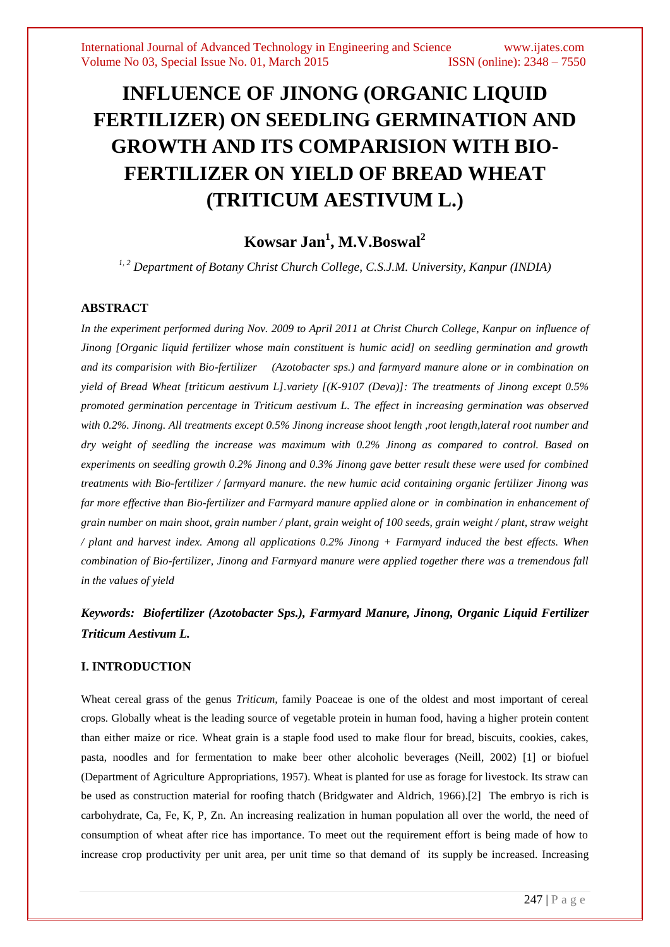# **INFLUENCE OF JINONG (ORGANIC LIQUID FERTILIZER) ON SEEDLING GERMINATION AND GROWTH AND ITS COMPARISION WITH BIO-FERTILIZER ON YIELD OF BREAD WHEAT (TRITICUM AESTIVUM L.)**

# **Kowsar Jan<sup>1</sup> , M.V.Boswal<sup>2</sup>**

*1, 2 Department of Botany Christ Church College, C.S.J.M. University, Kanpur (INDIA)*

## **ABSTRACT**

*In the experiment performed during Nov. 2009 to April 2011 at Christ Church College, Kanpur on influence of Jinong [Organic liquid fertilizer whose main constituent is humic acid] on seedling germination and growth and its comparision with Bio-fertilizer (Azotobacter sps.) and farmyard manure alone or in combination on yield of Bread Wheat [triticum aestivum L].variety [(K-9107 (Deva)]: The treatments of Jinong except 0.5% promoted germination percentage in Triticum aestivum L. The effect in increasing germination was observed with 0.2%. Jinong. All treatments except 0.5% Jinong increase shoot length ,root length,lateral root number and dry weight of seedling the increase was maximum with 0.2% Jinong as compared to control. Based on experiments on seedling growth 0.2% Jinong and 0.3% Jinong gave better result these were used for combined treatments with Bio-fertilizer / farmyard manure. the new humic acid containing organic fertilizer Jinong was far more effective than Bio-fertilizer and Farmyard manure applied alone or in combination in enhancement of grain number on main shoot, grain number / plant, grain weight of 100 seeds, grain weight / plant, straw weight / plant and harvest index. Among all applications 0.2% Jinong + Farmyard induced the best effects. When combination of Bio-fertilizer, Jinong and Farmyard manure were applied together there was a tremendous fall in the values of yield*

# *Keywords: Biofertilizer (Azotobacter Sps.), Farmyard Manure, Jinong, Organic Liquid Fertilizer Triticum Aestivum L.*

#### **I. INTRODUCTION**

Wheat cereal grass of the genus *Triticum,* family Poaceae is one of the oldest and most important of cereal crops. Globally wheat is the leading source of vegetable protein in human food, having a higher protein content than either maize or rice. Wheat grain is a staple food used to make flour for bread, biscuits, cookies, cakes, pasta, noodles and for fermentation to make beer other alcoholic beverages (Neill, 2002) [1] or biofuel (Department of Agriculture Appropriations, 1957). Wheat is planted for use as forage for livestock. Its straw can be used as construction material for roofing thatch (Bridgwater and Aldrich, 1966).[2] The embryo is rich is carbohydrate, Ca, Fe, K, P, Zn. An increasing realization in human population all over the world, the need of consumption of wheat after rice has importance. To meet out the requirement effort is being made of how to increase crop productivity per unit area, per unit time so that demand of its supply be increased. Increasing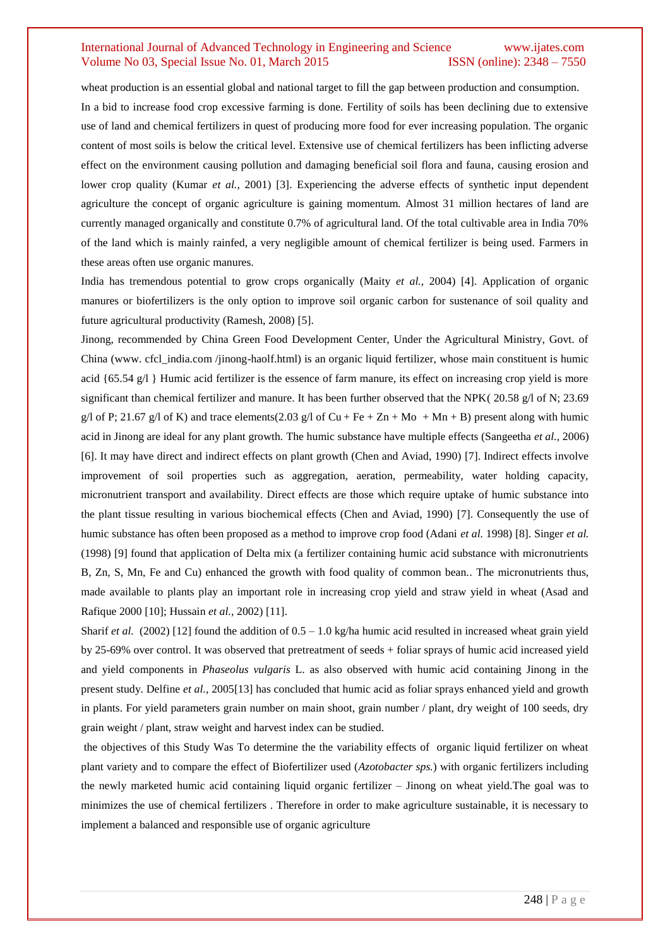## International Journal of Advanced Technology in Engineering and Science www.ijates.com Volume No 03, Special Issue No. 01, March 2015 **ISSN** (online): 2348 – 7550

wheat production is an essential global and national target to fill the gap between production and consumption. In a bid to increase food crop excessive farming is done. Fertility of soils has been declining due to extensive use of land and chemical fertilizers in quest of producing more food for ever increasing population. The organic content of most soils is below the critical level. Extensive use of chemical fertilizers has been inflicting adverse effect on the environment causing pollution and damaging beneficial soil flora and fauna, causing erosion and lower crop quality (Kumar *et al.*, 2001) [3]. Experiencing the adverse effects of synthetic input dependent agriculture the concept of organic agriculture is gaining momentum. Almost 31 million hectares of land are currently managed organically and constitute 0.7% of agricultural land. Of the total cultivable area in India 70% of the land which is mainly rainfed, a very negligible amount of chemical fertilizer is being used. Farmers in these areas often use organic manures.

India has tremendous potential to grow crops organically (Maity *et al.*, 2004) [4]. Application of organic manures or biofertilizers is the only option to improve soil organic carbon for sustenance of soil quality and future agricultural productivity (Ramesh, 2008) [5].

Jinong, recommended by China Green Food Development Center, Under the Agricultural Ministry, Govt. of China (www. cfcl\_india.com /jinong-haolf.html) is an organic liquid fertilizer, whose main constituent is humic acid {65.54 g/l } Humic acid fertilizer is the essence of farm manure, its effect on increasing crop yield is more significant than chemical fertilizer and manure. It has been further observed that the NPK( 20.58 g/l of N; 23.69 g/l of P; 21.67 g/l of K) and trace elements(2.03 g/l of Cu + Fe + Zn + Mo + Mn + B) present along with humic acid in Jinong are ideal for any plant growth. The humic substance have multiple effects (Sangeetha *et al.,* 2006) [6]. It may have direct and indirect effects on plant growth (Chen and Aviad, 1990) [7]. Indirect effects involve improvement of soil properties such as aggregation, aeration, permeability, water holding capacity, micronutrient transport and availability. Direct effects are those which require uptake of humic substance into the plant tissue resulting in various biochemical effects (Chen and Aviad, 1990) [7]. Consequently the use of humic substance has often been proposed as a method to improve crop food (Adani *et al.* 1998) [8]. Singer *et al.* (1998) [9] found that application of Delta mix (a fertilizer containing humic acid substance with micronutrients B, Zn, S, Mn, Fe and Cu) enhanced the growth with food quality of common bean.*.* The micronutrients thus, made available to plants play an important role in increasing crop yield and straw yield in wheat (Asad and Rafique 2000 [10]; Hussain *et al.*, 2002) [11].

Sharif *et al.* (2002) [12] found the addition of  $0.5 - 1.0$  kg/ha humic acid resulted in increased wheat grain yield by 25-69% over control. It was observed that pretreatment of seeds + foliar sprays of humic acid increased yield and yield components in *Phaseolus vulgaris* L. as also observed with humic acid containing Jinong in the present study. Delfine *et al.*, 2005[13] has concluded that humic acid as foliar sprays enhanced yield and growth in plants. For yield parameters grain number on main shoot, grain number / plant, dry weight of 100 seeds, dry grain weight / plant, straw weight and harvest index can be studied.

the objectives of this Study Was To determine the the variability effects of organic liquid fertilizer on wheat plant variety and to compare the effect of Biofertilizer used (*Azotobacter sps.*) with organic fertilizers including the newly marketed humic acid containing liquid organic fertilizer – Jinong on wheat yield.The goal was to minimizes the use of chemical fertilizers . Therefore in order to make agriculture sustainable, it is necessary to implement a balanced and responsible use of organic agriculture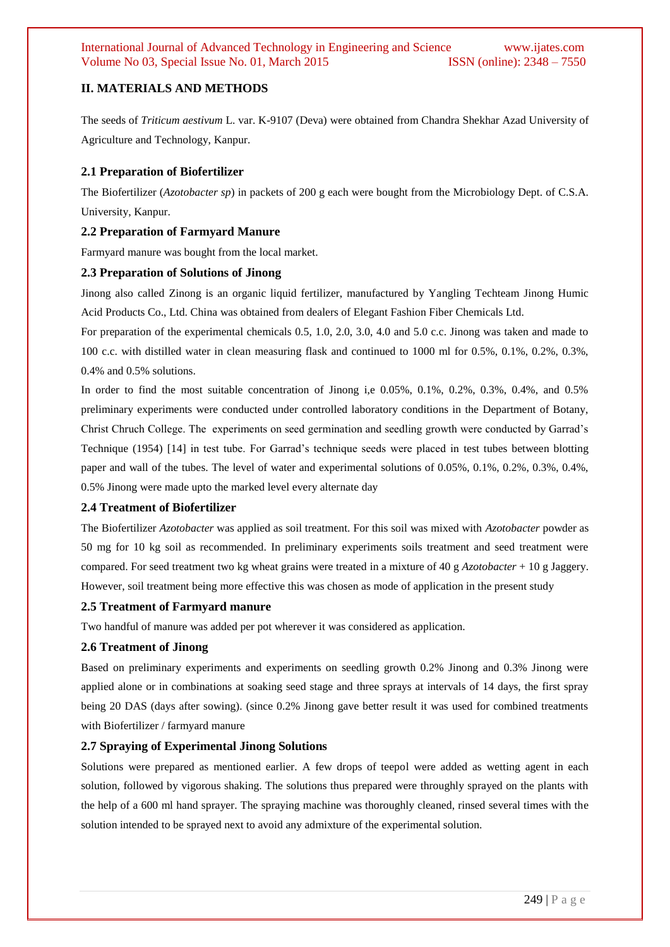## **II. MATERIALS AND METHODS**

The seeds of *Triticum aestivum* L. var. K-9107 (Deva) were obtained from Chandra Shekhar Azad University of Agriculture and Technology, Kanpur.

## **2.1 Preparation of Biofertilizer**

The Biofertilizer (*Azotobacter sp*) in packets of 200 g each were bought from the Microbiology Dept. of C.S.A. University, Kanpur.

## **2.2 Preparation of Farmyard Manure**

Farmyard manure was bought from the local market.

#### **2.3 Preparation of Solutions of Jinong**

Jinong also called Zinong is an organic liquid fertilizer, manufactured by Yangling Techteam Jinong Humic Acid Products Co., Ltd. China was obtained from dealers of Elegant Fashion Fiber Chemicals Ltd.

For preparation of the experimental chemicals 0.5, 1.0, 2.0, 3.0, 4.0 and 5.0 c.c. Jinong was taken and made to 100 c.c. with distilled water in clean measuring flask and continued to 1000 ml for 0.5%, 0.1%, 0.2%, 0.3%, 0.4% and 0.5% solutions.

In order to find the most suitable concentration of Jinong i,e 0.05%, 0.1%, 0.2%, 0.3%, 0.4%, and 0.5% preliminary experiments were conducted under controlled laboratory conditions in the Department of Botany, Christ Chruch College. The experiments on seed germination and seedling growth were conducted by Garrad's Technique (1954) [14] in test tube. For Garrad's technique seeds were placed in test tubes between blotting paper and wall of the tubes. The level of water and experimental solutions of 0.05%, 0.1%, 0.2%, 0.3%, 0.4%, 0.5% Jinong were made upto the marked level every alternate day

#### **2.4 Treatment of Biofertilizer**

The Biofertilizer *Azotobacter* was applied as soil treatment. For this soil was mixed with *Azotobacter* powder as 50 mg for 10 kg soil as recommended. In preliminary experiments soils treatment and seed treatment were compared. For seed treatment two kg wheat grains were treated in a mixture of 40 g *Azotobacter* + 10 g Jaggery. However, soil treatment being more effective this was chosen as mode of application in the present study

#### **2.5 Treatment of Farmyard manure**

Two handful of manure was added per pot wherever it was considered as application.

#### **2.6 Treatment of Jinong**

Based on preliminary experiments and experiments on seedling growth 0.2% Jinong and 0.3% Jinong were applied alone or in combinations at soaking seed stage and three sprays at intervals of 14 days, the first spray being 20 DAS (days after sowing). (since 0.2% Jinong gave better result it was used for combined treatments with Biofertilizer / farmyard manure

## **2.7 Spraying of Experimental Jinong Solutions**

Solutions were prepared as mentioned earlier. A few drops of teepol were added as wetting agent in each solution, followed by vigorous shaking. The solutions thus prepared were throughly sprayed on the plants with the help of a 600 ml hand sprayer. The spraying machine was thoroughly cleaned, rinsed several times with the solution intended to be sprayed next to avoid any admixture of the experimental solution.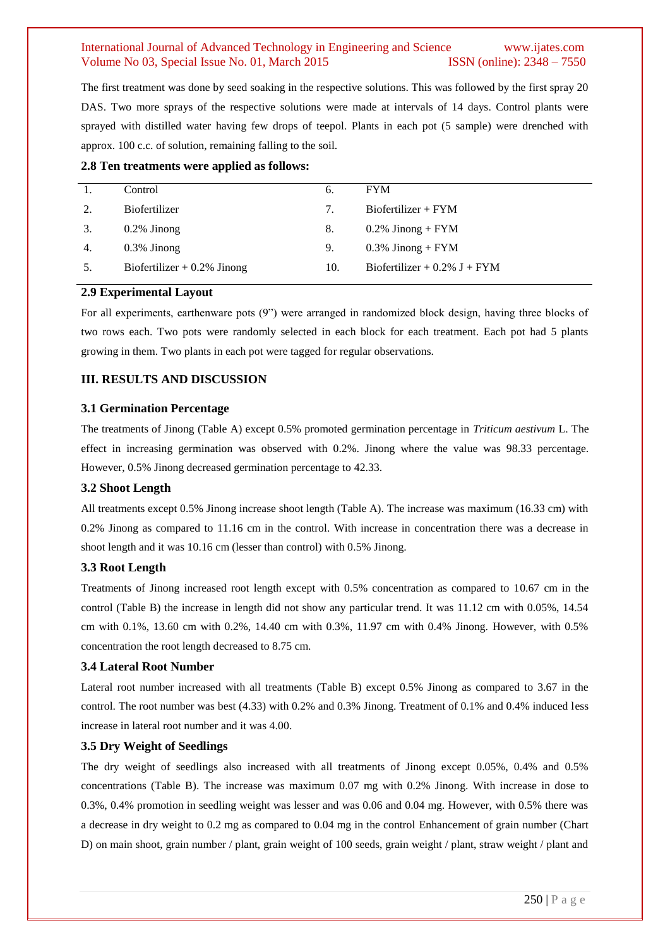## International Journal of Advanced Technology in Engineering and Science www.ijates.com Volume No 03, Special Issue No. 01, March 2015 ISSN (online): 2348 – 7550

The first treatment was done by seed soaking in the respective solutions. This was followed by the first spray 20 DAS. Two more sprays of the respective solutions were made at intervals of 14 days. Control plants were sprayed with distilled water having few drops of teepol. Plants in each pot (5 sample) were drenched with approx. 100 c.c. of solution, remaining falling to the soil.

**2.8 Ten treatments were applied as follows:** 

|    | Control                       | 6.  | <b>FYM</b>                      |
|----|-------------------------------|-----|---------------------------------|
| 2. | <b>Biofertilizer</b>          | 7.  | $Biofertilizer + FYM$           |
| 3. | $0.2\%$ Jinong                | 8.  | $0.2\%$ Jinong + FYM            |
| 4. | $0.3\%$ Jinong                | 9.  | $0.3\%$ Jinong + FYM            |
| 5. | Biofertilizer $+0.2\%$ Jinong | 10. | Biofertilizer + $0.2\%$ J + FYM |
|    |                               |     |                                 |

#### **2.9 Experimental Layout**

For all experiments, earthenware pots (9") were arranged in randomized block design, having three blocks of two rows each. Two pots were randomly selected in each block for each treatment. Each pot had 5 plants growing in them. Two plants in each pot were tagged for regular observations.

## **III. RESULTS AND DISCUSSION**

#### **3.1 Germination Percentage**

The treatments of Jinong (Table A) except 0.5% promoted germination percentage in *Triticum aestivum* L. The effect in increasing germination was observed with 0.2%. Jinong where the value was 98.33 percentage. However, 0.5% Jinong decreased germination percentage to 42.33.

#### **3.2 Shoot Length**

All treatments except 0.5% Jinong increase shoot length (Table A). The increase was maximum (16.33 cm) with 0.2% Jinong as compared to 11.16 cm in the control. With increase in concentration there was a decrease in shoot length and it was 10.16 cm (lesser than control) with 0.5% Jinong.

#### **3.3 Root Length**

Treatments of Jinong increased root length except with 0.5% concentration as compared to 10.67 cm in the control (Table B) the increase in length did not show any particular trend. It was 11.12 cm with 0.05%, 14.54 cm with 0.1%, 13.60 cm with 0.2%, 14.40 cm with 0.3%, 11.97 cm with 0.4% Jinong. However, with 0.5% concentration the root length decreased to 8.75 cm.

#### **3.4 Lateral Root Number**

Lateral root number increased with all treatments (Table B) except 0.5% Jinong as compared to 3.67 in the control. The root number was best (4.33) with 0.2% and 0.3% Jinong. Treatment of 0.1% and 0.4% induced less increase in lateral root number and it was 4.00.

## **3.5 Dry Weight of Seedlings**

The dry weight of seedlings also increased with all treatments of Jinong except 0.05%, 0.4% and 0.5% concentrations (Table B). The increase was maximum 0.07 mg with 0.2% Jinong. With increase in dose to 0.3%, 0.4% promotion in seedling weight was lesser and was 0.06 and 0.04 mg. However, with 0.5% there was a decrease in dry weight to 0.2 mg as compared to 0.04 mg in the control Enhancement of grain number (Chart D) on main shoot, grain number / plant, grain weight of 100 seeds, grain weight / plant, straw weight / plant and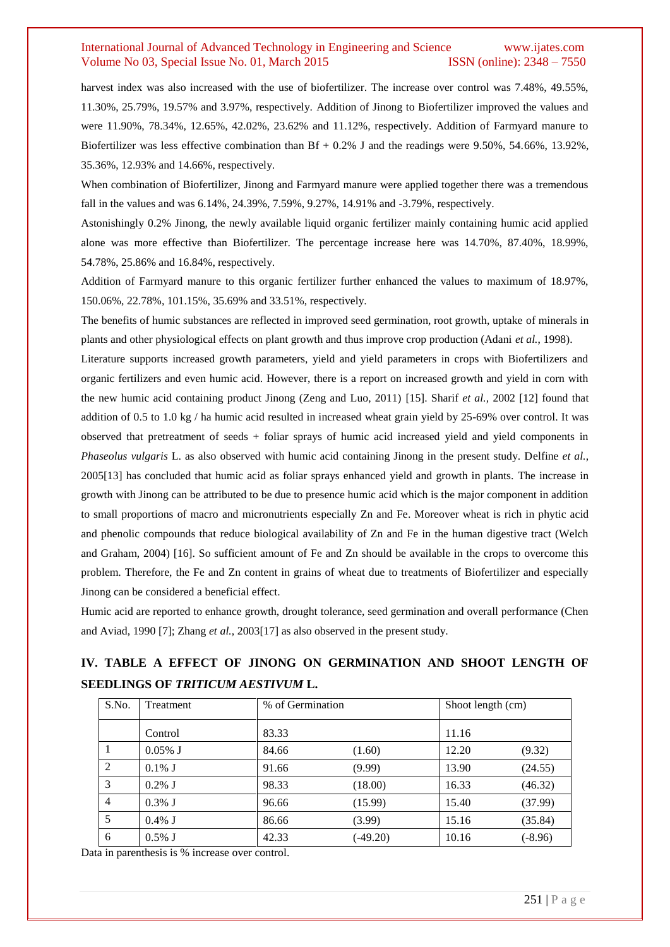## International Journal of Advanced Technology in Engineering and Science www.ijates.com Volume No 03, Special Issue No. 01, March 2015 **ISSN** (online): 2348 – 7550

harvest index was also increased with the use of biofertilizer. The increase over control was 7.48%, 49.55%, 11.30%, 25.79%, 19.57% and 3.97%, respectively. Addition of Jinong to Biofertilizer improved the values and were 11.90%, 78.34%, 12.65%, 42.02%, 23.62% and 11.12%, respectively. Addition of Farmyard manure to Biofertilizer was less effective combination than  $Bf + 0.2\%$  J and the readings were 9.50%, 54.66%, 13.92%, 35.36%, 12.93% and 14.66%, respectively.

When combination of Biofertilizer, Jinong and Farmyard manure were applied together there was a tremendous fall in the values and was 6.14%, 24.39%, 7.59%, 9.27%, 14.91% and -3.79%, respectively.

Astonishingly 0.2% Jinong, the newly available liquid organic fertilizer mainly containing humic acid applied alone was more effective than Biofertilizer. The percentage increase here was 14.70%, 87.40%, 18.99%, 54.78%, 25.86% and 16.84%, respectively.

Addition of Farmyard manure to this organic fertilizer further enhanced the values to maximum of 18.97%, 150.06%, 22.78%, 101.15%, 35.69% and 33.51%, respectively.

The benefits of humic substances are reflected in improved seed germination, root growth, uptake of minerals in plants and other physiological effects on plant growth and thus improve crop production (Adani *et al.*, 1998).

Literature supports increased growth parameters, yield and yield parameters in crops with Biofertilizers and organic fertilizers and even humic acid. However, there is a report on increased growth and yield in corn with the new humic acid containing product Jinong (Zeng and Luo, 2011) [15]. Sharif *et al.,* 2002 [12] found that addition of 0.5 to 1.0 kg / ha humic acid resulted in increased wheat grain yield by 25-69% over control. It was observed that pretreatment of seeds + foliar sprays of humic acid increased yield and yield components in *Phaseolus vulgaris* L. as also observed with humic acid containing Jinong in the present study. Delfine *et al.*, 2005[13] has concluded that humic acid as foliar sprays enhanced yield and growth in plants. The increase in growth with Jinong can be attributed to be due to presence humic acid which is the major component in addition to small proportions of macro and micronutrients especially Zn and Fe. Moreover wheat is rich in phytic acid and phenolic compounds that reduce biological availability of Zn and Fe in the human digestive tract (Welch and Graham, 2004) [16]. So sufficient amount of Fe and Zn should be available in the crops to overcome this problem. Therefore, the Fe and Zn content in grains of wheat due to treatments of Biofertilizer and especially Jinong can be considered a beneficial effect.

Humic acid are reported to enhance growth, drought tolerance, seed germination and overall performance (Chen and Aviad, 1990 [7]; Zhang *et al.*, 2003[17] as also observed in the present study.

# **IV. TABLE A EFFECT OF JINONG ON GERMINATION AND SHOOT LENGTH OF SEEDLINGS OF** *TRITICUM AESTIVUM* **L.**

| S.No.          | Treatment  | % of Germination |            | Shoot length (cm) |           |  |
|----------------|------------|------------------|------------|-------------------|-----------|--|
|                | Control    | 83.33            |            | 11.16             |           |  |
|                | $0.05\%$ J | 84.66            | (1.60)     | 12.20             | (9.32)    |  |
| 2              | $0.1\%$ J  | 91.66            | (9.99)     | 13.90             | (24.55)   |  |
| 3              | $0.2\%$ J  | 98.33            | (18.00)    | 16.33             | (46.32)   |  |
| $\overline{4}$ | $0.3\%$ J  | 96.66            | (15.99)    | 15.40             | (37.99)   |  |
| 5              | $0.4\%$ J  | 86.66            | (3.99)     | 15.16             | (35.84)   |  |
| 6              | $0.5\%$ J  | 42.33            | $(-49.20)$ | 10.16             | $(-8.96)$ |  |

Data in parenthesis is % increase over control.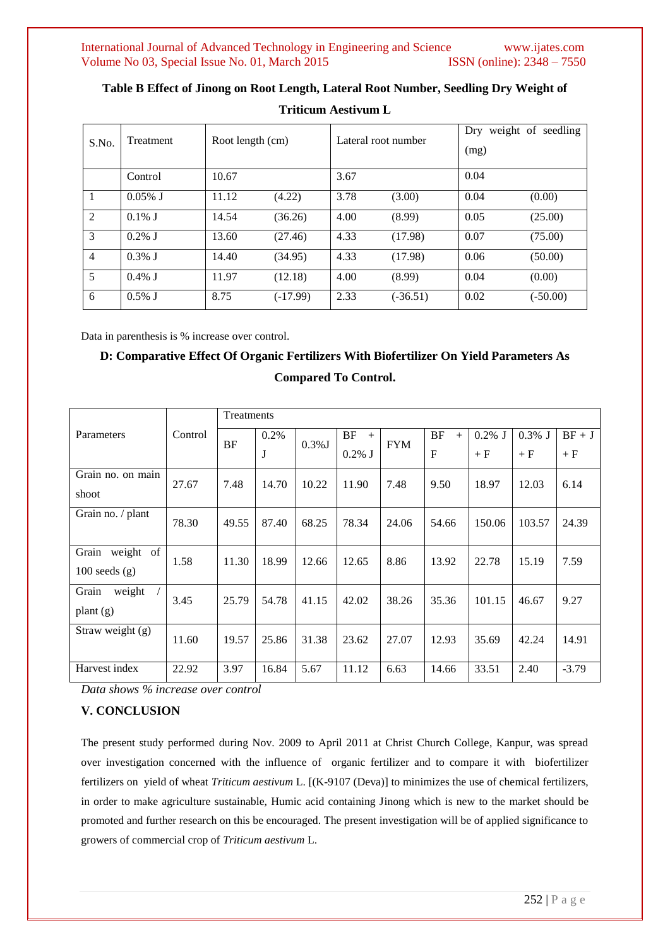| S.No.          | <b>Treatment</b> | Root length (cm) |          | Lateral root number |            | Dry weight of seedling<br>(mg) |            |  |
|----------------|------------------|------------------|----------|---------------------|------------|--------------------------------|------------|--|
|                | Control          | 10.67            |          | 3.67                |            | 0.04                           |            |  |
| $\mathbf{1}$   | $0.05\%$ J       | 11.12            | (4.22)   | 3.78                | (3.00)     | 0.04                           | (0.00)     |  |
| 2              | $0.1\%$ J        | 14.54            | (36.26)  | 4.00                | (8.99)     | 0.05                           | (25.00)    |  |
| 3              | $0.2\%$ J        | 13.60            | (27.46)  | 4.33                | (17.98)    | 0.07                           | (75.00)    |  |
| $\overline{4}$ | $0.3\%$ J        | 14.40            | (34.95)  | 4.33                | (17.98)    | 0.06                           | (50.00)    |  |
| 5              | $0.4\%$ J        | 11.97            | (12.18)  | 4.00                | (8.99)     | 0.04                           | (0.00)     |  |
| 6              | $0.5\%$ J        | 8.75             | (-17.99) | 2.33                | $(-36.51)$ | 0.02                           | $(-50.00)$ |  |

**Table B Effect of Jinong on Root Length, Lateral Root Number, Seedling Dry Weight of Triticum Aestivum L**

Data in parenthesis is % increase over control.

# **D: Comparative Effect Of Organic Fertilizers With Biofertilizer On Yield Parameters As Compared To Control.**

|                    | Control | Treatments |       |           |           |            |              |           |           |          |
|--------------------|---------|------------|-------|-----------|-----------|------------|--------------|-----------|-----------|----------|
| Parameters         |         | BF         | 0.2%  | $0.3\%$ J | BF<br>$+$ | <b>FYM</b> | BF<br>$+$    | $0.2\%$ J | $0.3\%$ J | $BF + J$ |
|                    |         |            | J     |           | $0.2\%$ J |            | $\mathbf{F}$ | $+ F$     | $+ F$     | $+ F$    |
| Grain no. on main  | 27.67   | 7.48       | 14.70 | 10.22     | 11.90     | 7.48       | 9.50         | 18.97     | 12.03     | 6.14     |
| shoot              |         |            |       |           |           |            |              |           |           |          |
| Grain no. / plant  | 78.30   | 49.55      | 87.40 | 68.25     | 78.34     | 24.06      | 54.66        | 150.06    | 103.57    | 24.39    |
|                    |         |            |       |           |           |            |              |           |           |          |
| Grain<br>weight of | 1.58    | 11.30      | 18.99 | 12.66     | 12.65     | 8.86       | 13.92        | 22.78     | 15.19     | 7.59     |
| $100$ seeds $(g)$  |         |            |       |           |           |            |              |           |           |          |
| Grain<br>weight    | 3.45    | 25.79      | 54.78 | 41.15     | 42.02     | 38.26      | 35.36        | 101.15    | 46.67     | 9.27     |
| plant $(g)$        |         |            |       |           |           |            |              |           |           |          |
| Straw weight (g)   | 11.60   | 19.57      | 25.86 | 31.38     | 23.62     | 27.07      | 12.93        | 35.69     | 42.24     | 14.91    |
|                    |         |            |       |           |           |            |              |           |           |          |
| Harvest index      | 22.92   | 3.97       | 16.84 | 5.67      | 11.12     | 6.63       | 14.66        | 33.51     | 2.40      | $-3.79$  |

*Data shows % increase over control* 

## **V. CONCLUSION**

The present study performed during Nov. 2009 to April 2011 at Christ Church College, Kanpur, was spread over investigation concerned with the influence of organic fertilizer and to compare it with biofertilizer fertilizers on yield of wheat *Triticum aestivum* L. [(K-9107 (Deva)] to minimizes the use of chemical fertilizers, in order to make agriculture sustainable, Humic acid containing Jinong which is new to the market should be promoted and further research on this be encouraged. The present investigation will be of applied significance to growers of commercial crop of *Triticum aestivum* L.